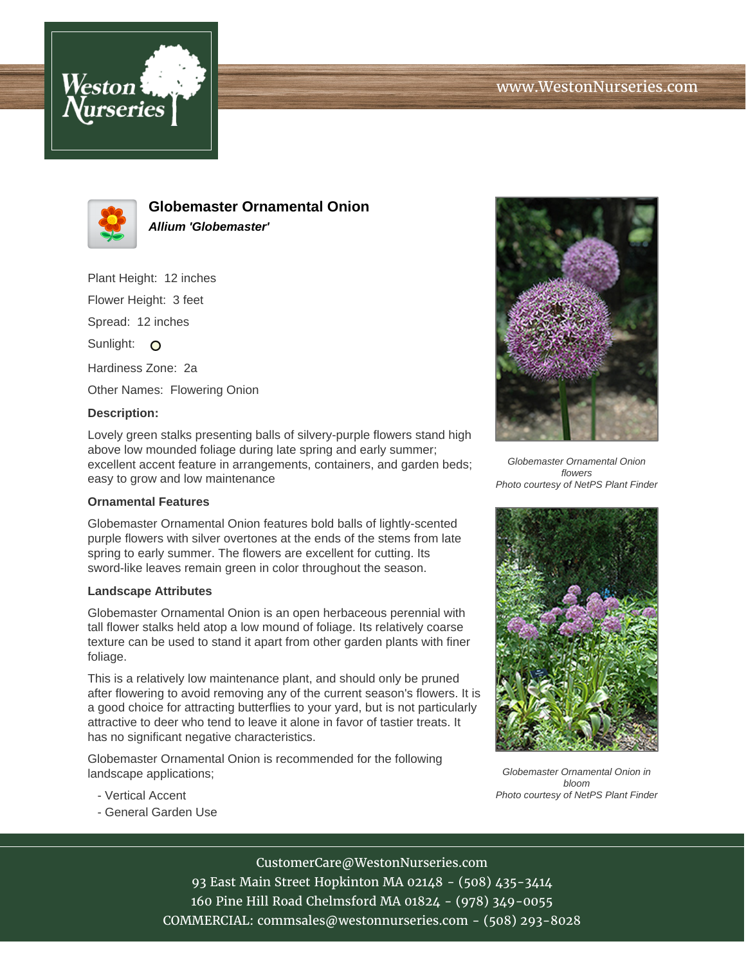



**Globemaster Ornamental Onion Allium 'Globemaster'**

Plant Height: 12 inches Flower Height: 3 feet Spread: 12 inches Sunlight: O

Hardiness Zone: 2a

Other Names: Flowering Onion

## **Description:**

Lovely green stalks presenting balls of silvery-purple flowers stand high above low mounded foliage during late spring and early summer; excellent accent feature in arrangements, containers, and garden beds; easy to grow and low maintenance

## **Ornamental Features**

Globemaster Ornamental Onion features bold balls of lightly-scented purple flowers with silver overtones at the ends of the stems from late spring to early summer. The flowers are excellent for cutting. Its sword-like leaves remain green in color throughout the season.

## **Landscape Attributes**

Globemaster Ornamental Onion is an open herbaceous perennial with tall flower stalks held atop a low mound of foliage. Its relatively coarse texture can be used to stand it apart from other garden plants with finer foliage.

This is a relatively low maintenance plant, and should only be pruned after flowering to avoid removing any of the current season's flowers. It is a good choice for attracting butterflies to your yard, but is not particularly attractive to deer who tend to leave it alone in favor of tastier treats. It has no significant negative characteristics.

Globemaster Ornamental Onion is recommended for the following landscape applications;

- Vertical Accent
- General Garden Use



Globemaster Ornamental Onion flowers Photo courtesy of NetPS Plant Finder



Globemaster Ornamental Onion in bloom Photo courtesy of NetPS Plant Finder

CustomerCare@WestonNurseries.com

93 East Main Street Hopkinton MA 02148 - (508) 435-3414 160 Pine Hill Road Chelmsford MA 01824 - (978) 349-0055 COMMERCIAL: commsales@westonnurseries.com - (508) 293-8028